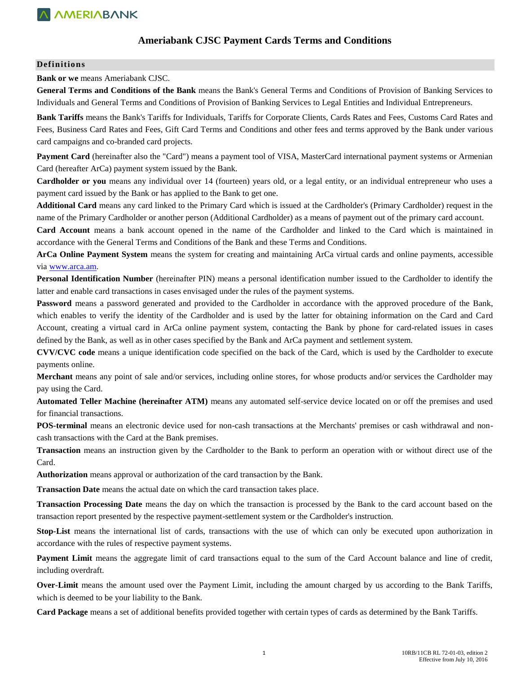

## **Ameriabank CJSC Payment Cards Terms and Conditions**

#### **Definitions**

**Bank or we** means Ameriabank CJSC.

**General Terms and Conditions of the Bank** means the Bank's General Terms and Conditions of Provision of Banking Services to Individuals and General Terms and Conditions of Provision of Banking Services to Legal Entities and Individual Entrepreneurs.

**Bank Tariffs** means the Bank's Tariffs for Individuals, Tariffs for Corporate Clients, Cards Rates and Fees, Customs Card Rates and Fees, Business Card Rates and Fees, Gift Card Terms and Conditions and other fees and terms approved by the Bank under various card campaigns and co-branded card projects.

**Payment Card** (hereinafter also the "Card") means a payment tool of VISA, MasterCard international payment systems or Armenian Card (hereafter ArCa) payment system issued by the Bank.

**Cardholder or you** means any individual over 14 (fourteen) years old, or a legal entity, or an individual entrepreneur who uses a payment card issued by the Bank or has applied to the Bank to get one.

**Additional Card** means any card linked to the Primary Card which is issued at the Cardholder's (Primary Cardholder) request in the name of the Primary Cardholder or another person (Additional Cardholder) as a means of payment out of the primary card account.

**Card Account** means a bank account opened in the name of the Cardholder and linked to the Card which is maintained in accordance with the General Terms and Conditions of the Bank and these Terms and Conditions.

**ArCa Online Payment System** means the system for creating and maintaining ArCa virtual cards and online payments, accessible via [www.arca.am.](http://www.arca.am/) 

**Personal Identification Number** (hereinafter PIN) means a personal identification number issued to the Cardholder to identify the latter and enable card transactions in cases envisaged under the rules of the payment systems.

**Password** means a password generated and provided to the Cardholder in accordance with the approved procedure of the Bank, which enables to verify the identity of the Cardholder and is used by the latter for obtaining information on the Card and Card Account, creating a virtual card in ArCa online payment system, contacting the Bank by phone for card-related issues in cases defined by the Bank, as well as in other cases specified by the Bank and ArCa payment and settlement system.

**CVV/CVC code** means a unique identification code specified on the back of the Card, which is used by the Cardholder to execute payments online.

**Merchant** means any point of sale and/or services, including online stores, for whose products and/or services the Cardholder may pay using the Card.

**Automated Teller Machine (hereinafter ATM)** means any automated self-service device located on or off the premises and used for financial transactions.

**POS-terminal** means an electronic device used for non-cash transactions at the Merchants' premises or cash withdrawal and noncash transactions with the Card at the Bank premises.

**Transaction** means an instruction given by the Cardholder to the Bank to perform an operation with or without direct use of the Card.

**Authorization** means approval or authorization of the card transaction by the Bank.

**Transaction Date** means the actual date on which the card transaction takes place.

**Transaction Processing Date** means the day on which the transaction is processed by the Bank to the card account based on the transaction report presented by the respective payment-settlement system or the Cardholder's instruction.

**Stop-List** means the international list of cards, transactions with the use of which can only be executed upon authorization in accordance with the rules of respective payment systems.

**Payment Limit** means the aggregate limit of card transactions equal to the sum of the Card Account balance and line of credit, including overdraft.

**Over-Limit** means the amount used over the Payment Limit, including the amount charged by us according to the Bank Tariffs, which is deemed to be your liability to the Bank.

**Card Package** means a set of additional benefits provided together with certain types of cards as determined by the Bank Tariffs.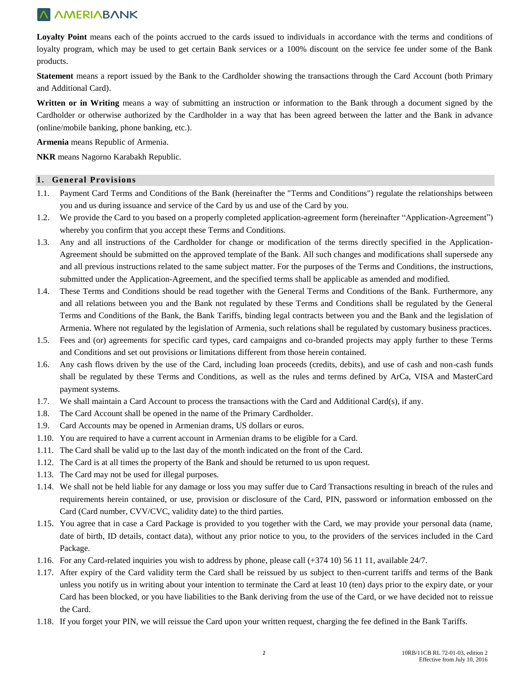Loyalty Point means each of the points accrued to the cards issued to individuals in accordance with the terms and conditions of loyalty program, which may be used to get certain Bank services or a 100% discount on the service fee under some of the Bank products.

**Statement** means a report issued by the Bank to the Cardholder showing the transactions through the Card Account (both Primary and Additional Card).

**Written or in Writing** means a way of submitting an instruction or information to the Bank through a document signed by the Cardholder or otherwise authorized by the Cardholder in a way that has been agreed between the latter and the Bank in advance (online/mobile banking, phone banking, etc.).

**Armenia** means Republic of Armenia.

**NKR** means Nagorno Karabakh Republic.

## **1. General Provisions**

- 1.1. Payment Card Terms and Conditions of the Bank (hereinafter the "Terms and Conditions") regulate the relationships between you and us during issuance and service of the Card by us and use of the Card by you.
- 1.2. We provide the Card to you based on a properly completed application-agreement form (hereinafter "Application-Agreement") whereby you confirm that you accept these Terms and Conditions.
- 1.3. Any and all instructions of the Cardholder for change or modification of the terms directly specified in the Application-Agreement should be submitted on the approved template of the Bank. All such changes and modifications shall supersede any and all previous instructions related to the same subject matter. For the purposes of the Terms and Conditions, the instructions, submitted under the Application-Agreement, and the specified terms shall be applicable as amended and modified.
- 1.4. These Terms and Conditions should be read together with the General Terms and Conditions of the Bank. Furthermore, any and all relations between you and the Bank not regulated by these Terms and Conditions shall be regulated by the General Terms and Conditions of the Bank, the Bank Tariffs, binding legal contracts between you and the Bank and the legislation of Armenia. Where not regulated by the legislation of Armenia, such relations shall be regulated by customary business practices.
- 1.5. Fees and (or) agreements for specific card types, card campaigns and co-branded projects may apply further to these Terms and Conditions and set out provisions or limitations different from those herein contained.
- 1.6. Any cash flows driven by the use of the Card, including loan proceeds (credits, debits), and use of cash and non-cash funds shall be regulated by these Terms and Conditions, as well as the rules and terms defined by ArCa, VISA and MasterCard payment systems.
- 1.7. We shall maintain a Card Account to process the transactions with the Card and Additional Card(s), if any.
- 1.8. The Card Account shall be opened in the name of the Primary Cardholder.
- 1.9. Card Accounts may be opened in Armenian drams, US dollars or euros.
- 1.10. You are required to have a current account in Armenian drams to be eligible for a Card.
- 1.11. The Card shall be valid up to the last day of the month indicated on the front of the Card.
- 1.12. The Card is at all times the property of the Bank and should be returned to us upon request.
- 1.13. The Card may not be used for illegal purposes.
- 1.14. We shall not be held liable for any damage or loss you may suffer due to Card Transactions resulting in breach of the rules and requirements herein contained, or use, provision or disclosure of the Card, PIN, password or information embossed on the Card (Card number, CVV/CVC, validity date) to the third parties.
- 1.15. You agree that in case a Card Package is provided to you together with the Card, we may provide your personal data (name, date of birth, ID details, contact data), without any prior notice to you, to the providers of the services included in the Card Package.
- 1.16. For any Card-related inquiries you wish to address by phone, please call (+374 10) 56 11 11, available 24/7.
- 1.17. After expiry of the Card validity term the Card shall be reissued by us subject to then-current tariffs and terms of the Bank unless you notify us in writing about your intention to terminate the Card at least 10 (ten) days prior to the expiry date, or your Card has been blocked, or you have liabilities to the Bank deriving from the use of the Card, or we have decided not to reissue the Card.
- 1.18. If you forget your PIN, we will reissue the Card upon your written request, charging the fee defined in the Bank Tariffs.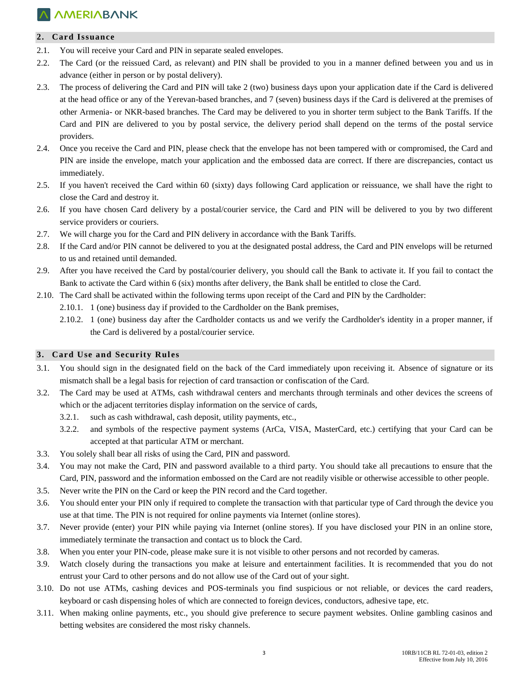## **2. Card Issuance**

- 2.1. You will receive your Card and PIN in separate sealed envelopes.
- 2.2. The Card (or the reissued Card, as relevant) and PIN shall be provided to you in a manner defined between you and us in advance (either in person or by postal delivery).
- 2.3. The process of delivering the Card and PIN will take 2 (two) business days upon your application date if the Card is delivered at the head office or any of the Yerevan-based branches, and 7 (seven) business days if the Card is delivered at the premises of other Armenia- or NKR-based branches. The Card may be delivered to you in shorter term subject to the Bank Tariffs. If the Card and PIN are delivered to you by postal service, the delivery period shall depend on the terms of the postal service providers.
- 2.4. Once you receive the Card and PIN, please check that the envelope has not been tampered with or compromised, the Card and PIN are inside the envelope, match your application and the embossed data are correct. If there are discrepancies, contact us immediately.
- 2.5. If you haven't received the Card within 60 (sixty) days following Card application or reissuance, we shall have the right to close the Card and destroy it.
- 2.6. If you have chosen Card delivery by a postal/courier service, the Card and PIN will be delivered to you by two different service providers or couriers.
- 2.7. We will charge you for the Card and PIN delivery in accordance with the Bank Tariffs.
- 2.8. If the Card and/or PIN cannot be delivered to you at the designated postal address, the Card and PIN envelops will be returned to us and retained until demanded.
- 2.9. After you have received the Card by postal/courier delivery, you should call the Bank to activate it. If you fail to contact the Bank to activate the Card within 6 (six) months after delivery, the Bank shall be entitled to close the Card.
- 2.10. The Card shall be activated within the following terms upon receipt of the Card and PIN by the Cardholder:
	- 2.10.1. 1 (one) business day if provided to the Cardholder on the Bank premises,
	- 2.10.2. 1 (one) business day after the Cardholder contacts us and we verify the Cardholder's identity in a proper manner, if the Card is delivered by a postal/courier service.

### **3.** Card Use and Security Rules

- 3.1. You should sign in the designated field on the back of the Card immediately upon receiving it. Absence of signature or its mismatch shall be a legal basis for rejection of card transaction or confiscation of the Card.
- 3.2. The Card may be used at ATMs, cash withdrawal centers and merchants through terminals and other devices the screens of which or the adjacent territories display information on the service of cards,
	- 3.2.1. such as cash withdrawal, cash deposit, utility payments, etc.,
	- 3.2.2. and symbols of the respective payment systems (ArCa, VISA, MasterCard, etc.) certifying that your Card can be accepted at that particular ATM or merchant.
- 3.3. You solely shall bear all risks of using the Card, PIN and password.
- 3.4. You may not make the Card, PIN and password available to a third party. You should take all precautions to ensure that the Card, PIN, password and the information embossed on the Card are not readily visible or otherwise accessible to other people.
- 3.5. Never write the PIN on the Card or keep the PIN record and the Card together.
- 3.6. You should enter your PIN only if required to complete the transaction with that particular type of Card through the device you use at that time. The PIN is not required for online payments via Internet (online stores).
- 3.7. Never provide (enter) your PIN while paying via Internet (online stores). If you have disclosed your PIN in an online store, immediately terminate the transaction and contact us to block the Card.
- 3.8. When you enter your PIN-code, please make sure it is not visible to other persons and not recorded by cameras.
- 3.9. Watch closely during the transactions you make at leisure and entertainment facilities. It is recommended that you do not entrust your Card to other persons and do not allow use of the Card out of your sight.
- 3.10. Do not use ATMs, cashing devices and POS-terminals you find suspicious or not reliable, or devices the card readers, keyboard or cash dispensing holes of which are connected to foreign devices, conductors, adhesive tape, etc.
- 3.11. When making online payments, etc., you should give preference to secure payment websites. Online gambling casinos and betting websites are considered the most risky channels.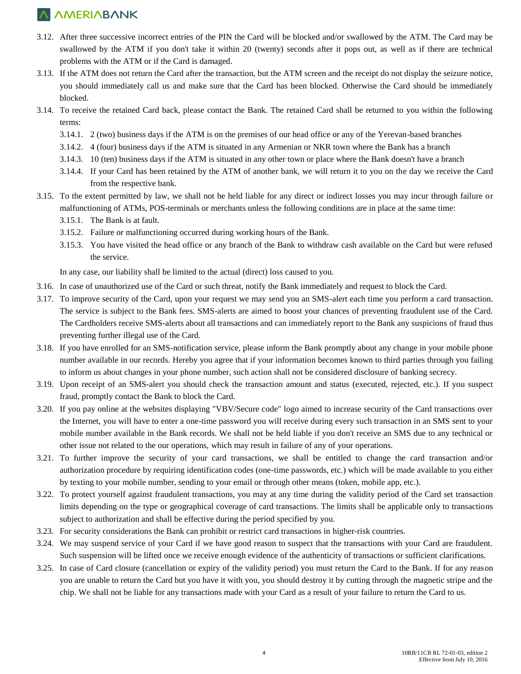- 3.12. After three successive incorrect entries of the PIN the Card will be blocked and/or swallowed by the ATM. The Card may be swallowed by the ATM if you don't take it within 20 (twenty) seconds after it pops out, as well as if there are technical problems with the ATM or if the Card is damaged.
- 3.13. If the ATM does not return the Card after the transaction, but the ATM screen and the receipt do not display the seizure notice, you should immediately call us and make sure that the Card has been blocked. Otherwise the Card should be immediately blocked.
- 3.14. To receive the retained Card back, please contact the Bank. The retained Card shall be returned to you within the following terms:
	- 3.14.1. 2 (two) business days if the ATM is on the premises of our head office or any of the Yerevan-based branches
	- 3.14.2. 4 (four) business days if the ATM is situated in any Armenian or NKR town where the Bank has a branch
	- 3.14.3. 10 (ten) business days if the ATM is situated in any other town or place where the Bank doesn't have a branch
	- 3.14.4. If your Card has been retained by the ATM of another bank, we will return it to you on the day we receive the Card from the respective bank.
- 3.15. To the extent permitted by law, we shall not be held liable for any direct or indirect losses you may incur through failure or malfunctioning of ATMs, POS-terminals or merchants unless the following conditions are in place at the same time:
	- 3.15.1. The Bank is at fault.
	- 3.15.2. Failure or malfunctioning occurred during working hours of the Bank.
	- 3.15.3. You have visited the head office or any branch of the Bank to withdraw cash available on the Card but were refused the service.

In any case, our liability shall be limited to the actual (direct) loss caused to you.

- 3.16. In case of unauthorized use of the Card or such threat, notify the Bank immediately and request to block the Card.
- 3.17. To improve security of the Card, upon your request we may send you an SMS-alert each time you perform a card transaction. The service is subject to the Bank fees. SMS-alerts are aimed to boost your chances of preventing fraudulent use of the Card. The Cardholders receive SMS-alerts about all transactions and can immediately report to the Bank any suspicions of fraud thus preventing further illegal use of the Card.
- 3.18. If you have enrolled for an SMS-notification service, please inform the Bank promptly about any change in your mobile phone number available in our records. Hereby you agree that if your information becomes known to third parties through you failing to inform us about changes in your phone number, such action shall not be considered disclosure of banking secrecy.
- 3.19. Upon receipt of an SMS-alert you should check the transaction amount and status (executed, rejected, etc.). If you suspect fraud, promptly contact the Bank to block the Card.
- 3.20. If you pay online at the websites displaying "VBV/Secure code" logo aimed to increase security of the Card transactions over the Internet, you will have to enter a one-time password you will receive during every such transaction in an SMS sent to your mobile number available in the Bank records. We shall not be held liable if you don't receive an SMS due to any technical or other issue not related to the our operations, which may result in failure of any of your operations.
- 3.21. To further improve the security of your card transactions, we shall be entitled to change the card transaction and/or authorization procedure by requiring identification codes (one-time passwords, etc.) which will be made available to you either by texting to your mobile number, sending to your email or through other means (token, mobile app, etc.).
- 3.22. To protect yourself against fraudulent transactions, you may at any time during the validity period of the Card set transaction limits depending on the type or geographical coverage of card transactions. The limits shall be applicable only to transactions subject to authorization and shall be effective during the period specified by you.
- 3.23. For security considerations the Bank can prohibit or restrict card transactions in higher-risk countries.
- 3.24. We may suspend service of your Card if we have good reason to suspect that the transactions with your Card are fraudulent. Such suspension will be lifted once we receive enough evidence of the authenticity of transactions or sufficient clarifications.
- 3.25. In case of Card closure (cancellation or expiry of the validity period) you must return the Card to the Bank. If for any reason you are unable to return the Card but you have it with you, you should destroy it by cutting through the magnetic stripe and the chip. We shall not be liable for any transactions made with your Card as a result of your failure to return the Card to us.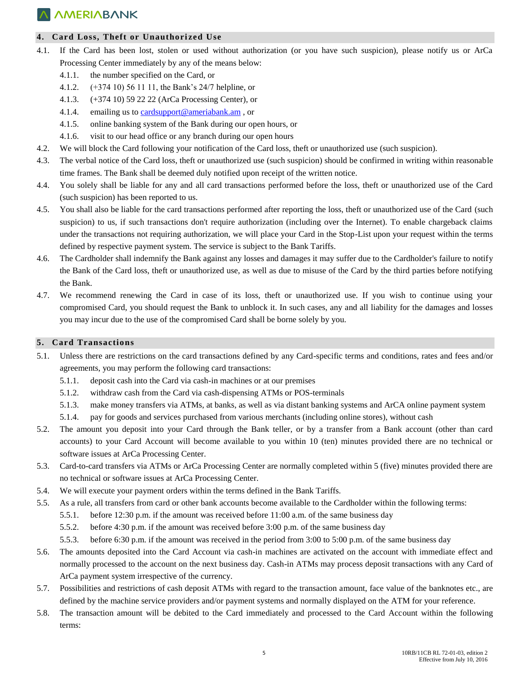## **4. Card Loss, Theft or Unauthori zed Use**

- 4.1. If the Card has been lost, stolen or used without authorization (or you have such suspicion), please notify us or ArCa Processing Center immediately by any of the means below:
	- 4.1.1. the number specified on the Card, or
	- 4.1.2. (+374 10) 56 11 11, the Bank's 24/7 helpline, or
	- 4.1.3. (+374 10) 59 22 22 (ArCa Processing Center), or
	- 4.1.4. emailing us to [cardsupport@ameriabank.am](mailto:cardsupport@ameriabank.am) , or
	- 4.1.5. online banking system of the Bank during our open hours, or
	- 4.1.6. visit to our head office or any branch during our open hours
- 4.2. We will block the Card following your notification of the Card loss, theft or unauthorized use (such suspicion).
- 4.3. The verbal notice of the Card loss, theft or unauthorized use (such suspicion) should be confirmed in writing within reasonable time frames. The Bank shall be deemed duly notified upon receipt of the written notice.
- 4.4. You solely shall be liable for any and all card transactions performed before the loss, theft or unauthorized use of the Card (such suspicion) has been reported to us.
- 4.5. You shall also be liable for the card transactions performed after reporting the loss, theft or unauthorized use of the Card (such suspicion) to us, if such transactions don't require authorization (including over the Internet). To enable chargeback claims under the transactions not requiring authorization, we will place your Card in the Stop-List upon your request within the terms defined by respective payment system. The service is subject to the Bank Tariffs.
- 4.6. The Cardholder shall indemnify the Bank against any losses and damages it may suffer due to the Cardholder's failure to notify the Bank of the Card loss, theft or unauthorized use, as well as due to misuse of the Card by the third parties before notifying the Bank.
- 4.7. We recommend renewing the Card in case of its loss, theft or unauthorized use. If you wish to continue using your compromised Card, you should request the Bank to unblock it. In such cases, any and all liability for the damages and losses you may incur due to the use of the compromised Card shall be borne solely by you.

### **5. Card Transactions**

- 5.1. Unless there are restrictions on the card transactions defined by any Card-specific terms and conditions, rates and fees and/or agreements, you may perform the following card transactions:
	- 5.1.1. deposit cash into the Card via cash-in machines or at our premises
	- 5.1.2. withdraw cash from the Card via cash-dispensing ATMs or POS-terminals
	- 5.1.3. make money transfers via ATMs, at banks, as well as via distant banking systems and ArCA online payment system
	- 5.1.4. pay for goods and services purchased from various merchants (including online stores), without cash
- 5.2. The amount you deposit into your Card through the Bank teller, or by a transfer from a Bank account (other than card accounts) to your Card Account will become available to you within 10 (ten) minutes provided there are no technical or software issues at ArCa Processing Center.
- 5.3. Card-to-card transfers via ATMs or ArCa Processing Center are normally completed within 5 (five) minutes provided there are no technical or software issues at ArCa Processing Center.
- 5.4. We will execute your payment orders within the terms defined in the Bank Tariffs.
- 5.5. As a rule, all transfers from card or other bank accounts become available to the Cardholder within the following terms:
	- 5.5.1. before 12:30 p.m. if the amount was received before 11:00 a.m. of the same business day
	- 5.5.2. before 4:30 p.m. if the amount was received before 3:00 p.m. of the same business day
	- 5.5.3. before 6:30 p.m. if the amount was received in the period from 3:00 to 5:00 p.m. of the same business day
- 5.6. The amounts deposited into the Card Account via cash-in machines are activated on the account with immediate effect and normally processed to the account on the next business day. Cash-in ATMs may process deposit transactions with any Card of ArCa payment system irrespective of the currency.
- 5.7. Possibilities and restrictions of cash deposit ATMs with regard to the transaction amount, face value of the banknotes etc., are defined by the machine service providers and/or payment systems and normally displayed on the ATM for your reference.
- 5.8. The transaction amount will be debited to the Card immediately and processed to the Card Account within the following terms: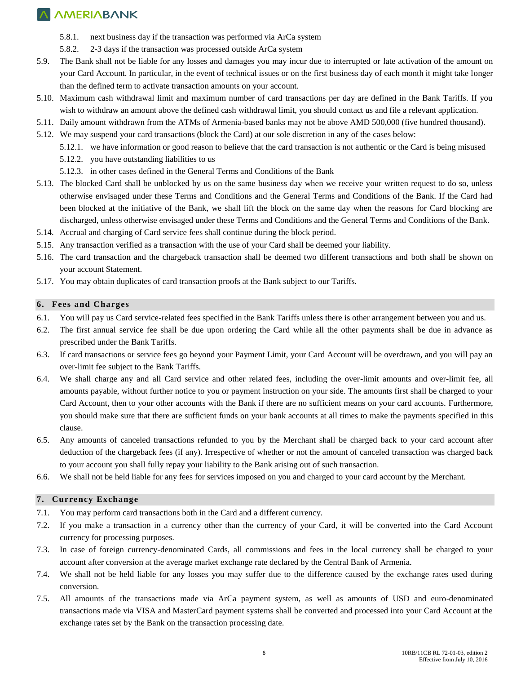- 5.8.1. next business day if the transaction was performed via ArCa system
- 5.8.2. 2-3 days if the transaction was processed outside ArCa system
- 5.9. The Bank shall not be liable for any losses and damages you may incur due to interrupted or late activation of the amount on your Card Account. In particular, in the event of technical issues or on the first business day of each month it might take longer than the defined term to activate transaction amounts on your account.
- 5.10. Maximum cash withdrawal limit and maximum number of card transactions per day are defined in the Bank Tariffs. If you wish to withdraw an amount above the defined cash withdrawal limit, you should contact us and file a relevant application.
- 5.11. Daily amount withdrawn from the ATMs of Armenia-based banks may not be above AMD 500,000 (five hundred thousand).
- 5.12. We may suspend your card transactions (block the Card) at our sole discretion in any of the cases below:
	- 5.12.1. we have information or good reason to believe that the card transaction is not authentic or the Card is being misused
	- 5.12.2. you have outstanding liabilities to us
	- 5.12.3. in other cases defined in the General Terms and Conditions of the Bank
- 5.13. The blocked Card shall be unblocked by us on the same business day when we receive your written request to do so, unless otherwise envisaged under these Terms and Conditions and the General Terms and Conditions of the Bank. If the Card had been blocked at the initiative of the Bank, we shall lift the block on the same day when the reasons for Card blocking are discharged, unless otherwise envisaged under these Terms and Conditions and the General Terms and Conditions of the Bank.
- 5.14. Accrual and charging of Card service fees shall continue during the block period.
- 5.15. Any transaction verified as a transaction with the use of your Card shall be deemed your liability.
- 5.16. The card transaction and the chargeback transaction shall be deemed two different transactions and both shall be shown on your account Statement.
- 5.17. You may obtain duplicates of card transaction proofs at the Bank subject to our Tariffs.

#### **6. Fees and Charges**

- 6.1. You will pay us Card service-related fees specified in the Bank Tariffs unless there is other arrangement between you and us.
- 6.2. The first annual service fee shall be due upon ordering the Card while all the other payments shall be due in advance as prescribed under the Bank Tariffs.
- 6.3. If card transactions or service fees go beyond your Payment Limit, your Card Account will be overdrawn, and you will pay an over-limit fee subject to the Bank Tariffs.
- 6.4. We shall charge any and all Card service and other related fees, including the over-limit amounts and over-limit fee, all amounts payable, without further notice to you or payment instruction on your side. The amounts first shall be charged to your Card Account, then to your other accounts with the Bank if there are no sufficient means on your card accounts. Furthermore, you should make sure that there are sufficient funds on your bank accounts at all times to make the payments specified in this clause.
- 6.5. Any amounts of canceled transactions refunded to you by the Merchant shall be charged back to your card account after deduction of the chargeback fees (if any). Irrespective of whether or not the amount of canceled transaction was charged back to your account you shall fully repay your liability to the Bank arising out of such transaction.
- 6.6. We shall not be held liable for any fees for services imposed on you and charged to your card account by the Merchant.

### **7. Currency Exchange**

- 7.1. You may perform card transactions both in the Card and a different currency.
- 7.2. If you make a transaction in a currency other than the currency of your Card, it will be converted into the Card Account currency for processing purposes.
- 7.3. In case of foreign currency-denominated Cards, all commissions and fees in the local currency shall be charged to your account after conversion at the average market exchange rate declared by the Central Bank of Armenia.
- 7.4. We shall not be held liable for any losses you may suffer due to the difference caused by the exchange rates used during conversion.
- 7.5. All amounts of the transactions made via ArCa payment system, as well as amounts of USD and euro-denominated transactions made via VISA and MasterCard payment systems shall be converted and processed into your Card Account at the exchange rates set by the Bank on the transaction processing date.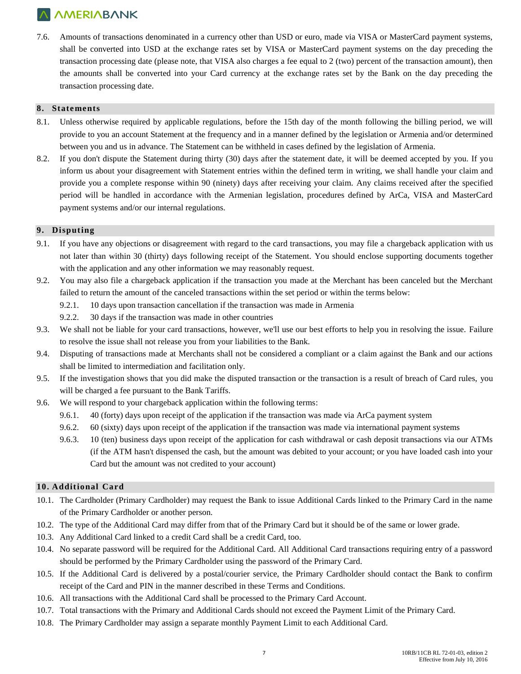7.6. Amounts of transactions denominated in a currency other than USD or euro, made via VISA or MasterCard payment systems, shall be converted into USD at the exchange rates set by VISA or MasterCard payment systems on the day preceding the transaction processing date (please note, that VISA also charges a fee equal to 2 (two) percent of the transaction amount), then the amounts shall be converted into your Card currency at the exchange rates set by the Bank on the day preceding the transaction processing date.

## **8. Statements**

- 8.1. Unless otherwise required by applicable regulations, before the 15th day of the month following the billing period, we will provide to you an account Statement at the frequency and in a manner defined by the legislation or Armenia and/or determined between you and us in advance. The Statement can be withheld in cases defined by the legislation of Armenia.
- 8.2. If you don't dispute the Statement during thirty (30) days after the statement date, it will be deemed accepted by you. If you inform us about your disagreement with Statement entries within the defined term in writing, we shall handle your claim and provide you a complete response within 90 (ninety) days after receiving your claim. Any claims received after the specified period will be handled in accordance with the Armenian legislation, procedures defined by ArCa, VISA and MasterCard payment systems and/or our internal regulations.

## **9. Disputing**

- 9.1. If you have any objections or disagreement with regard to the card transactions, you may file a chargeback application with us not later than within 30 (thirty) days following receipt of the Statement. You should enclose supporting documents together with the application and any other information we may reasonably request.
- 9.2. You may also file a chargeback application if the transaction you made at the Merchant has been canceled but the Merchant failed to return the amount of the canceled transactions within the set period or within the terms below:
	- 9.2.1. 10 days upon transaction cancellation if the transaction was made in Armenia
	- 9.2.2. 30 days if the transaction was made in other countries
- 9.3. We shall not be liable for your card transactions, however, we'll use our best efforts to help you in resolving the issue. Failure to resolve the issue shall not release you from your liabilities to the Bank.
- 9.4. Disputing of transactions made at Merchants shall not be considered a compliant or a claim against the Bank and our actions shall be limited to intermediation and facilitation only.
- 9.5. If the investigation shows that you did make the disputed transaction or the transaction is a result of breach of Card rules, you will be charged a fee pursuant to the Bank Tariffs.
- 9.6. We will respond to your chargeback application within the following terms:
	- 9.6.1. 40 (forty) days upon receipt of the application if the transaction was made via ArCa payment system
	- 9.6.2. 60 (sixty) days upon receipt of the application if the transaction was made via international payment systems
	- 9.6.3. 10 (ten) business days upon receipt of the application for cash withdrawal or cash deposit transactions via our ATMs (if the ATM hasn't dispensed the cash, but the amount was debited to your account; or you have loaded cash into your Card but the amount was not credited to your account)

## **10. Additional Card**

- 10.1. The Cardholder (Primary Cardholder) may request the Bank to issue Additional Cards linked to the Primary Card in the name of the Primary Cardholder or another person.
- 10.2. The type of the Additional Card may differ from that of the Primary Card but it should be of the same or lower grade.
- 10.3. Any Additional Card linked to a credit Card shall be a credit Card, too.
- 10.4. No separate password will be required for the Additional Card. All Additional Card transactions requiring entry of a password should be performed by the Primary Cardholder using the password of the Primary Card.
- 10.5. If the Additional Card is delivered by a postal/courier service, the Primary Cardholder should contact the Bank to confirm receipt of the Card and PIN in the manner described in these Terms and Conditions.
- 10.6. All transactions with the Additional Card shall be processed to the Primary Card Account.
- 10.7. Total transactions with the Primary and Additional Cards should not exceed the Payment Limit of the Primary Card.
- 10.8. The Primary Cardholder may assign a separate monthly Payment Limit to each Additional Card.